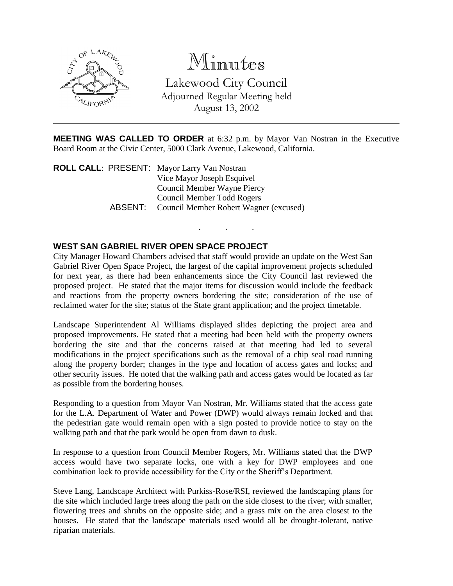

# Minutes

Lakewood City Council Adjourned Regular Meeting held August 13, 2002

**MEETING WAS CALLED TO ORDER** at 6:32 p.m. by Mayor Van Nostran in the Executive Board Room at the Civic Center, 5000 Clark Avenue, Lakewood, California.

. . .

**ROLL CALL**: PRESENT: Mayor Larry Van Nostran Vice Mayor Joseph Esquivel Council Member Wayne Piercy Council Member Todd Rogers ABSENT: Council Member Robert Wagner (excused)

## **WEST SAN GABRIEL RIVER OPEN SPACE PROJECT**

City Manager Howard Chambers advised that staff would provide an update on the West San Gabriel River Open Space Project, the largest of the capital improvement projects scheduled for next year, as there had been enhancements since the City Council last reviewed the proposed project. He stated that the major items for discussion would include the feedback and reactions from the property owners bordering the site; consideration of the use of reclaimed water for the site; status of the State grant application; and the project timetable.

Landscape Superintendent Al Williams displayed slides depicting the project area and proposed improvements. He stated that a meeting had been held with the property owners bordering the site and that the concerns raised at that meeting had led to several modifications in the project specifications such as the removal of a chip seal road running along the property border; changes in the type and location of access gates and locks; and other security issues. He noted that the walking path and access gates would be located as far as possible from the bordering houses.

Responding to a question from Mayor Van Nostran, Mr. Williams stated that the access gate for the L.A. Department of Water and Power (DWP) would always remain locked and that the pedestrian gate would remain open with a sign posted to provide notice to stay on the walking path and that the park would be open from dawn to dusk.

In response to a question from Council Member Rogers, Mr. Williams stated that the DWP access would have two separate locks, one with a key for DWP employees and one combination lock to provide accessibility for the City or the Sheriff's Department.

Steve Lang, Landscape Architect with Purkiss-Rose/RSI, reviewed the landscaping plans for the site which included large trees along the path on the side closest to the river; with smaller, flowering trees and shrubs on the opposite side; and a grass mix on the area closest to the houses. He stated that the landscape materials used would all be drought-tolerant, native riparian materials.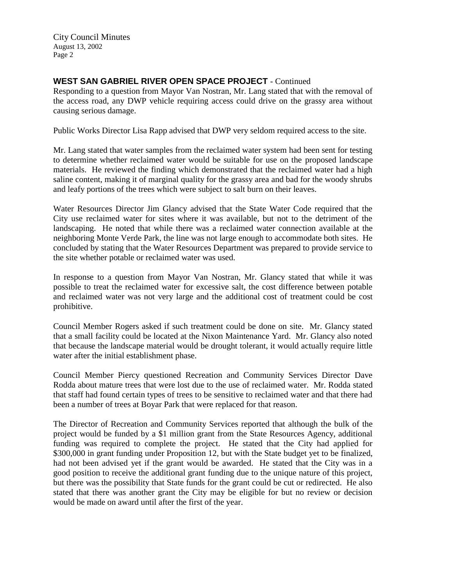City Council Minutes August 13, 2002 Page 2

## **WEST SAN GABRIEL RIVER OPEN SPACE PROJECT** - Continued

Responding to a question from Mayor Van Nostran, Mr. Lang stated that with the removal of the access road, any DWP vehicle requiring access could drive on the grassy area without causing serious damage.

Public Works Director Lisa Rapp advised that DWP very seldom required access to the site.

Mr. Lang stated that water samples from the reclaimed water system had been sent for testing to determine whether reclaimed water would be suitable for use on the proposed landscape materials. He reviewed the finding which demonstrated that the reclaimed water had a high saline content, making it of marginal quality for the grassy area and bad for the woody shrubs and leafy portions of the trees which were subject to salt burn on their leaves.

Water Resources Director Jim Glancy advised that the State Water Code required that the City use reclaimed water for sites where it was available, but not to the detriment of the landscaping. He noted that while there was a reclaimed water connection available at the neighboring Monte Verde Park, the line was not large enough to accommodate both sites. He concluded by stating that the Water Resources Department was prepared to provide service to the site whether potable or reclaimed water was used.

In response to a question from Mayor Van Nostran, Mr. Glancy stated that while it was possible to treat the reclaimed water for excessive salt, the cost difference between potable and reclaimed water was not very large and the additional cost of treatment could be cost prohibitive.

Council Member Rogers asked if such treatment could be done on site. Mr. Glancy stated that a small facility could be located at the Nixon Maintenance Yard. Mr. Glancy also noted that because the landscape material would be drought tolerant, it would actually require little water after the initial establishment phase.

Council Member Piercy questioned Recreation and Community Services Director Dave Rodda about mature trees that were lost due to the use of reclaimed water. Mr. Rodda stated that staff had found certain types of trees to be sensitive to reclaimed water and that there had been a number of trees at Boyar Park that were replaced for that reason.

The Director of Recreation and Community Services reported that although the bulk of the project would be funded by a \$1 million grant from the State Resources Agency, additional funding was required to complete the project. He stated that the City had applied for \$300,000 in grant funding under Proposition 12, but with the State budget yet to be finalized, had not been advised yet if the grant would be awarded. He stated that the City was in a good position to receive the additional grant funding due to the unique nature of this project, but there was the possibility that State funds for the grant could be cut or redirected. He also stated that there was another grant the City may be eligible for but no review or decision would be made on award until after the first of the year.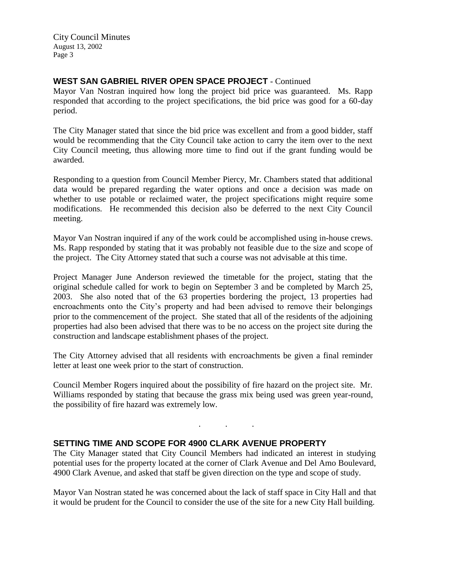City Council Minutes August 13, 2002 Page 3

## **WEST SAN GABRIEL RIVER OPEN SPACE PROJECT** - Continued

Mayor Van Nostran inquired how long the project bid price was guaranteed. Ms. Rapp responded that according to the project specifications, the bid price was good for a 60-day period.

The City Manager stated that since the bid price was excellent and from a good bidder, staff would be recommending that the City Council take action to carry the item over to the next City Council meeting, thus allowing more time to find out if the grant funding would be awarded.

Responding to a question from Council Member Piercy, Mr. Chambers stated that additional data would be prepared regarding the water options and once a decision was made on whether to use potable or reclaimed water, the project specifications might require some modifications. He recommended this decision also be deferred to the next City Council meeting.

Mayor Van Nostran inquired if any of the work could be accomplished using in-house crews. Ms. Rapp responded by stating that it was probably not feasible due to the size and scope of the project. The City Attorney stated that such a course was not advisable at this time.

Project Manager June Anderson reviewed the timetable for the project, stating that the original schedule called for work to begin on September 3 and be completed by March 25, 2003. She also noted that of the 63 properties bordering the project, 13 properties had encroachments onto the City's property and had been advised to remove their belongings prior to the commencement of the project. She stated that all of the residents of the adjoining properties had also been advised that there was to be no access on the project site during the construction and landscape establishment phases of the project.

The City Attorney advised that all residents with encroachments be given a final reminder letter at least one week prior to the start of construction.

Council Member Rogers inquired about the possibility of fire hazard on the project site. Mr. Williams responded by stating that because the grass mix being used was green year-round, the possibility of fire hazard was extremely low.

. . .

#### **SETTING TIME AND SCOPE FOR 4900 CLARK AVENUE PROPERTY**

The City Manager stated that City Council Members had indicated an interest in studying potential uses for the property located at the corner of Clark Avenue and Del Amo Boulevard, 4900 Clark Avenue, and asked that staff be given direction on the type and scope of study.

Mayor Van Nostran stated he was concerned about the lack of staff space in City Hall and that it would be prudent for the Council to consider the use of the site for a new City Hall building.